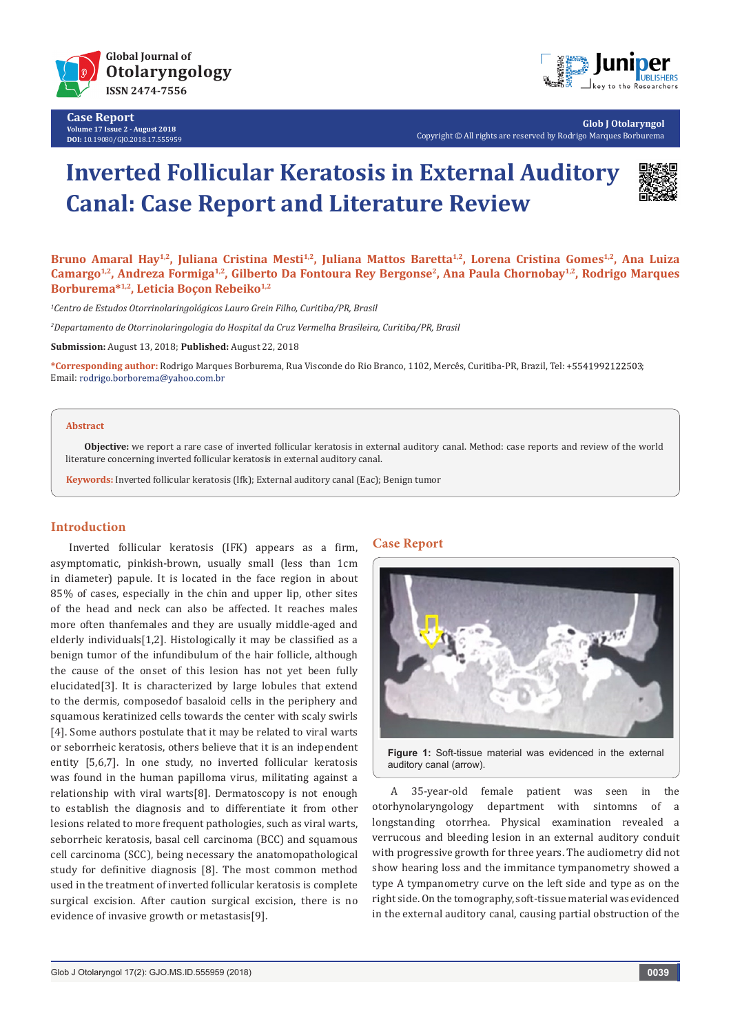

**Case Report Volume 17 Issue 2 - August 2018 DOI:** [10.19080/GJO.2018.17.555959](http://http://dx.doi.org/10.19080/GJO.2018.17.555959)



**Glob J Otolaryngol** Copyright © All rights are reserved by Rodrigo Marques Borburema

# **Inverted Follicular Keratosis in External Auditory Canal: Case Report and Literature Review**



Bruno Amaral Hay<sup>1,2</sup>, Juliana Cristina Mesti<sup>1,2</sup>, Juliana Mattos Baretta<sup>1,2</sup>, Lorena Cristina Gomes<sup>1,2</sup>, Ana Luiza Camargo<sup>1,2</sup>, Andreza Formiga<sup>1,2</sup>, Gilberto Da Fontoura Rey Bergonse<sup>2</sup>, Ana Paula Chornobay<sup>1,2</sup>, Rodrigo Marques Borburema<sup>\*1,2</sup>, Leticia Boçon Rebeiko<sup>1,2</sup>

*1 Centro de Estudos Otorrinolaringológicos Lauro Grein Filho, Curitiba/PR, Brasil*

*2 Departamento de Otorrinolaringologia do Hospital da Cruz Vermelha Brasileira, Curitiba/PR, Brasil*

**Submission:** August 13, 2018; **Published:** August 22, 2018

**\*Corresponding author:** Rodrigo Marques Borburema, Rua Visconde do Rio Branco, 1102, Mercês, Curitiba-PR, Brazil, Tel: ; Email: rodrigo.borborema@yahoo.com.br

#### **Abstract**

**Objective:** we report a rare case of inverted follicular keratosis in external auditory canal. Method: case reports and review of the world literature concerning inverted follicular keratosis in external auditory canal.

**Keywords:** Inverted follicular keratosis (Ifk); External auditory canal (Eac); Benign tumor

## **Introduction**

Inverted follicular keratosis (IFK) appears as a firm, asymptomatic, pinkish-brown, usually small (less than 1cm in diameter) papule. It is located in the face region in about 85% of cases, especially in the chin and upper lip, other sites of the head and neck can also be affected. It reaches males more often thanfemales and they are usually middle-aged and elderly individuals[1,2]. Histologically it may be classified as a benign tumor of the infundibulum of the hair follicle, although the cause of the onset of this lesion has not yet been fully elucidated[3]. It is characterized by large lobules that extend to the dermis, composedof basaloid cells in the periphery and squamous keratinized cells towards the center with scaly swirls [4]. Some authors postulate that it may be related to viral warts or seborrheic keratosis, others believe that it is an independent entity [5,6,7]. In one study, no inverted follicular keratosis was found in the human papilloma virus, militating against a relationship with viral warts[8]. Dermatoscopy is not enough to establish the diagnosis and to differentiate it from other lesions related to more frequent pathologies, such as viral warts, seborrheic keratosis, basal cell carcinoma (BCC) and squamous cell carcinoma (SCC), being necessary the anatomopathological study for definitive diagnosis [8]. The most common method used in the treatment of inverted follicular keratosis is complete surgical excision. After caution surgical excision, there is no evidence of invasive growth or metastasis[9].

## **Case Report**



**Figure 1:** Soft-tissue material was evidenced in the external auditory canal (arrow).

A 35-year-old female patient was seen in the otorhynolaryngology department with sintomns of a longstanding otorrhea. Physical examination revealed a verrucous and bleeding lesion in an external auditory conduit with progressive growth for three years. The audiometry did not show hearing loss and the immitance tympanometry showed a type A tympanometry curve on the left side and type as on the right side. On the tomography, soft-tissue material was evidenced in the external auditory canal, causing partial obstruction of the